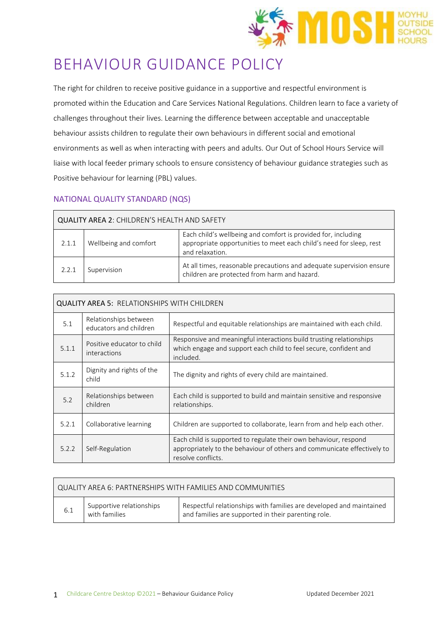

# BEHAVIOUR GUIDANCE POLICY

The right for children to receive positive guidance in a supportive and respectful environment is promoted within the Education and Care Services National Regulations. Children learn to face a variety of challenges throughout their lives. Learning the difference between acceptable and unacceptable behaviour assists children to regulate their own behaviours in different social and emotional environments as well as when interacting with peers and adults. Our Out of School Hours Service will liaise with local feeder primary schools to ensure consistency of behaviour guidance strategies such as Positive behaviour for learning (PBL) values.

# NATIONAL QUALITY STANDARD (NQS)

| QUALITY AREA 2: CHILDREN'S HEALTH AND SAFETY |                       |                                                                                                                                                         |  |
|----------------------------------------------|-----------------------|---------------------------------------------------------------------------------------------------------------------------------------------------------|--|
| 2.1.1                                        | Wellbeing and comfort | Each child's wellbeing and comfort is provided for, including<br>appropriate opportunities to meet each child's need for sleep, rest<br>and relaxation. |  |
| 2.2.1                                        | Supervision           | At all times, reasonable precautions and adequate supervision ensure<br>children are protected from harm and hazard.                                    |  |

| <b>QUALITY AREA 5: RELATIONSHIPS WITH CHILDREN</b> |                                                 |                                                                                                                                                                   |  |
|----------------------------------------------------|-------------------------------------------------|-------------------------------------------------------------------------------------------------------------------------------------------------------------------|--|
| 5.1                                                | Relationships between<br>educators and children | Respectful and equitable relationships are maintained with each child.                                                                                            |  |
| 5.1.1                                              | Positive educator to child<br>interactions      | Responsive and meaningful interactions build trusting relationships<br>which engage and support each child to feel secure, confident and<br>included.             |  |
| 5.1.2                                              | Dignity and rights of the<br>child              | The dignity and rights of every child are maintained.                                                                                                             |  |
| 5.2                                                | Relationships between<br>children               | Each child is supported to build and maintain sensitive and responsive<br>relationships.                                                                          |  |
| 5.2.1                                              | Collaborative learning                          | Children are supported to collaborate, learn from and help each other.                                                                                            |  |
| 5.2.2                                              | Self-Regulation                                 | Each child is supported to regulate their own behaviour, respond<br>appropriately to the behaviour of others and communicate effectively to<br>resolve conflicts. |  |

| QUALITY AREA 6: PARTNERSHIPS WITH FAMILIES AND COMMUNITIES |                                           |                                                                                                                            |  |
|------------------------------------------------------------|-------------------------------------------|----------------------------------------------------------------------------------------------------------------------------|--|
| 6.1                                                        | Supportive relationships<br>with families | Respectful relationships with families are developed and maintained<br>and families are supported in their parenting role. |  |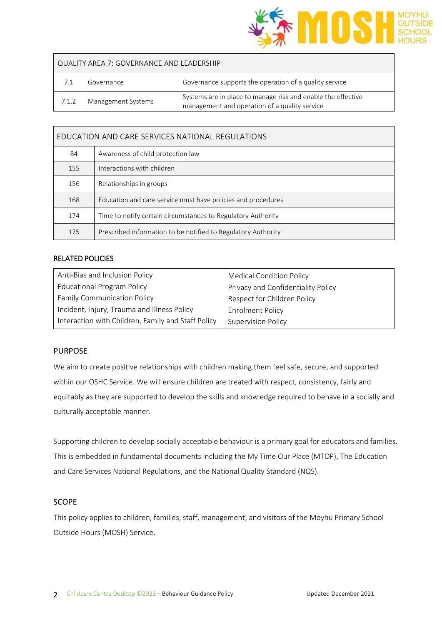

| QUALITY AREA 7: GOVERNANCE AND LEADERSHIP |                    |                                                                                                               |  |
|-------------------------------------------|--------------------|---------------------------------------------------------------------------------------------------------------|--|
|                                           | Governance         | Governance supports the operation of a quality service                                                        |  |
| 7.1.2                                     | Management Systems | Systems are in place to manage risk and enable the effective<br>management and operation of a quality service |  |

| EDUCATION AND CARE SERVICES NATIONAL REGULATIONS |                                                               |  |
|--------------------------------------------------|---------------------------------------------------------------|--|
| 84                                               | Awareness of child protection law                             |  |
| 155                                              | Interactions with children                                    |  |
| 156                                              | Relationships in groups                                       |  |
| 168                                              | Education and care service must have policies and procedures  |  |
| 174                                              | Time to notify certain circumstances to Regulatory Authority  |  |
| 175                                              | Prescribed information to be notified to Regulatory Authority |  |

## RELATED POLICIES

| Anti-Bias and Inclusion Policy                     | <b>Medical Condition Policy</b>    |
|----------------------------------------------------|------------------------------------|
| <b>Educational Program Policy</b>                  | Privacy and Confidentiality Policy |
| <b>Family Communication Policy</b>                 | Respect for Children Policy        |
| Incident, Injury, Trauma and Illness Policy        | <b>Enrolment Policy</b>            |
| Interaction with Children, Family and Staff Policy | <b>Supervision Policy</b>          |

#### PURPOSE

We aim to create positive relationships with children making them feel safe, secure, and supported within our OSHC Service. We will ensure children are treated with respect, consistency, fairly and equitably as they are supported to develop the skills and knowledge required to behave in a socially and culturally acceptable manner.

Supporting children to develop socially acceptable behaviour is a primary goal for educators and families. This is embedded in fundamental documents including the My Time Our Place (MTOP), The Education and Care Services National Regulations, and the National Quality Standard (NQS).

#### SCOPE

This policy applies to children, families, staff, management, and visitors of the Moyhu Primary School Outside Hours (MOSH) Service.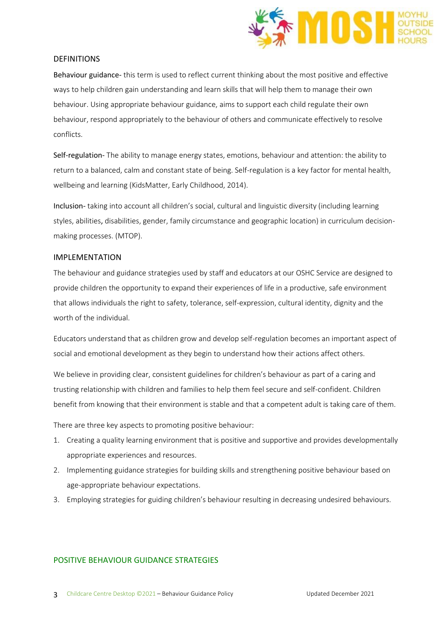

#### DEFINITIONS

Behaviour guidance*-* this term is used to reflect current thinking about the most positive and effective ways to help children gain understanding and learn skills that will help them to manage their own behaviour. Using appropriate behaviour guidance, aims to support each child regulate their own behaviour, respond appropriately to the behaviour of others and communicate effectively to resolve conflicts.

Self-regulation- The ability to manage energy states, emotions, behaviour and attention: the ability to return to a balanced, calm and constant state of being. Self-regulation is a key factor for mental health, wellbeing and learning (KidsMatter, Early Childhood, 2014).

Inclusion- taking into account all children's social, cultural and linguistic diversity (including learning styles, abilities, disabilities, gender, family circumstance and geographic location) in curriculum decisionmaking processes. (MTOP).

#### IMPLEMENTATION

The behaviour and guidance strategies used by staff and educators at our OSHC Service are designed to provide children the opportunity to expand their experiences of life in a productive, safe environment that allows individuals the right to safety, tolerance, self-expression, cultural identity, dignity and the worth of the individual.

Educators understand that as children grow and develop self-regulation becomes an important aspect of social and emotional development as they begin to understand how their actions affect others.

We believe in providing clear, consistent guidelines for children's behaviour as part of a caring and trusting relationship with children and families to help them feel secure and self-confident. Children benefit from knowing that their environment is stable and that a competent adult is taking care of them.

There are three key aspects to promoting positive behaviour:

- 1. Creating a quality learning environment that is positive and supportive and provides developmentally appropriate experiences and resources.
- 2. Implementing guidance strategies for building skills and strengthening positive behaviour based on age-appropriate behaviour expectations.
- 3. Employing strategies for guiding children's behaviour resulting in decreasing undesired behaviours.

## POSITIVE BEHAVIOUR GUIDANCE STRATEGIES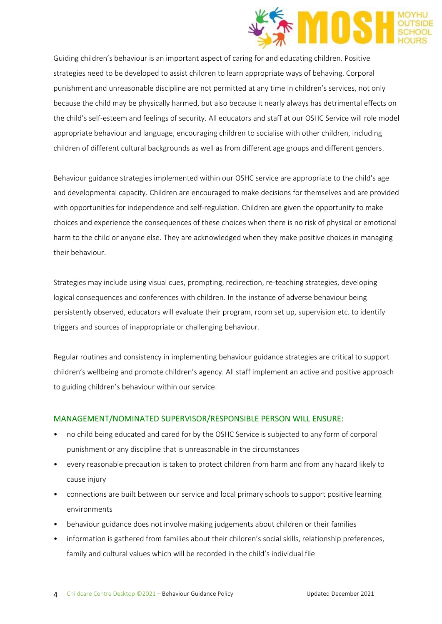

Guiding children's behaviour is an important aspect of caring for and educating children. Positive strategies need to be developed to assist children to learn appropriate ways of behaving. Corporal punishment and unreasonable discipline are not permitted at any time in children's services, not only because the child may be physically harmed, but also because it nearly always has detrimental effects on the child's self-esteem and feelings of security. All educators and staff at our OSHC Service will role model appropriate behaviour and language, encouraging children to socialise with other children, including children of different cultural backgrounds as well as from different age groups and different genders.

Behaviour guidance strategies implemented within our OSHC service are appropriate to the child's age and developmental capacity. Children are encouraged to make decisions for themselves and are provided with opportunities for independence and self-regulation. Children are given the opportunity to make choices and experience the consequences of these choices when there is no risk of physical or emotional harm to the child or anyone else. They are acknowledged when they make positive choices in managing their behaviour.

Strategies may include using visual cues, prompting, redirection, re-teaching strategies, developing logical consequences and conferences with children. In the instance of adverse behaviour being persistently observed, educators will evaluate their program, room set up, supervision etc. to identify triggers and sources of inappropriate or challenging behaviour.

Regular routines and consistency in implementing behaviour guidance strategies are critical to support children's wellbeing and promote children's agency. All staff implement an active and positive approach to guiding children's behaviour within our service.

## MANAGEMENT/NOMINATED SUPERVISOR/RESPONSIBLE PERSON WILL ENSURE:

- no child being educated and cared for by the OSHC Service is subjected to any form of corporal punishment or any discipline that is unreasonable in the circumstances
- every reasonable precaution is taken to protect children from harm and from any hazard likely to cause injury
- connections are built between our service and local primary schools to support positive learning environments
- behaviour guidance does not involve making judgements about children or their families
- information is gathered from families about their children's social skills, relationship preferences, family and cultural values which will be recorded in the child's individual file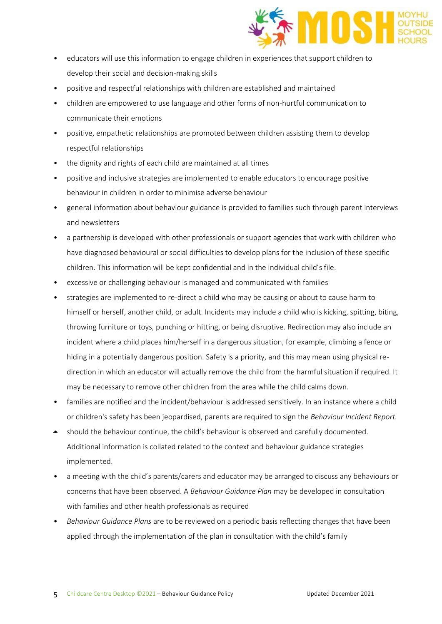

- educators will use this information to engage children in experiences that support children to develop their social and decision-making skills
- positive and respectful relationships with children are established and maintained
- children are empowered to use language and other forms of non-hurtful communication to communicate their emotions
- positive, empathetic relationships are promoted between children assisting them to develop respectful relationships
- the dignity and rights of each child are maintained at all times
- positive and inclusive strategies are implemented to enable educators to encourage positive behaviour in children in order to minimise adverse behaviour
- general information about behaviour guidance is provided to families such through parent interviews and newsletters
- a partnership is developed with other professionals or support agencies that work with children who have diagnosed behavioural or social difficulties to develop plans for the inclusion of these specific children. This information will be kept confidential and in the individual child's file.
- excessive or challenging behaviour is managed and communicated with families
- strategies are implemented to re-direct a child who may be causing or about to cause harm to himself or herself, another child, or adult. Incidents may include a child who is kicking, spitting, biting, throwing furniture or toys, punching or hitting, or being disruptive. Redirection may also include an incident where a child places him/herself in a dangerous situation, for example, climbing a fence or hiding in a potentially dangerous position. Safety is a priority, and this may mean using physical redirection in which an educator will actually remove the child from the harmful situation if required. It may be necessary to remove other children from the area while the child calms down.
- families are notified and the incident/behaviour is addressed sensitively. In an instance where a child or children's safety has been jeopardised, parents are required to sign the *Behaviour Incident Report.*
- should the behaviour continue, the child's behaviour is observed and carefully documented. Additional information is collated related to the context and behaviour guidance strategies implemented.
- a meeting with the child's parents/carers and educator may be arranged to discuss any behaviours or concerns that have been observed. A *Behaviour Guidance Plan* may be developed in consultation with families and other health professionals as required
- *Behaviour Guidance Plans* are to be reviewed on a periodic basis reflecting changes that have been applied through the implementation of the plan in consultation with the child's family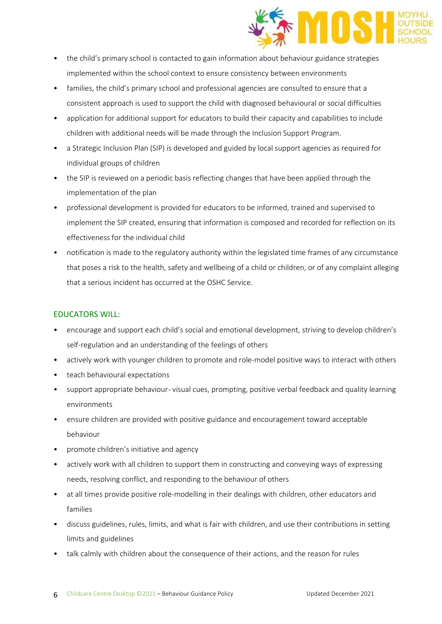

- the child's primary school is contacted to gain information about behaviour guidance strategies implemented within the school context to ensure consistency between environments
- families, the child's primary school and professional agencies are consulted to ensure that a consistent approach is used to support the child with diagnosed behavioural or social difficulties
- application for additional support for educators to build their capacity and capabilities to include children with additional needs will be made through the Inclusion Support Program.
- a Strategic Inclusion Plan (SIP) is developed and guided by local support agencies as required for individual groups of children
- the SIP is reviewed on a periodic basis reflecting changes that have been applied through the implementation of the plan
- professional development is provided for educators to be informed, trained and supervised to implement the SIP created, ensuring that information is composed and recorded for reflection on its effectiveness for the individual child
- notification is made to the regulatory authority within the legislated time frames of any circumstance that poses a risk to the health, safety and wellbeing of a child or children, or of any complaint alleging that a serious incident has occurred at the OSHC Service.

# EDUCATORS WILL:

- encourage and support each child's social and emotional development, striving to develop children's self-regulation and an understanding of the feelings of others
- actively work with younger children to promote and role-model positive ways to interact with others
- teach behavioural expectations
- support appropriate behaviour- visual cues, prompting, positive verbal feedback and quality learning environments
- ensure children are provided with positive guidance and encouragement toward acceptable behaviour
- promote children's initiative and agency
- actively work with all children to support them in constructing and conveying ways of expressing needs, resolving conflict, and responding to the behaviour of others
- at all times provide positive role-modelling in their dealings with children, other educators and families
- discuss guidelines, rules, limits, and what is fair with children, and use their contributions in setting limits and guidelines
- talk calmly with children about the consequence of their actions, and the reason for rules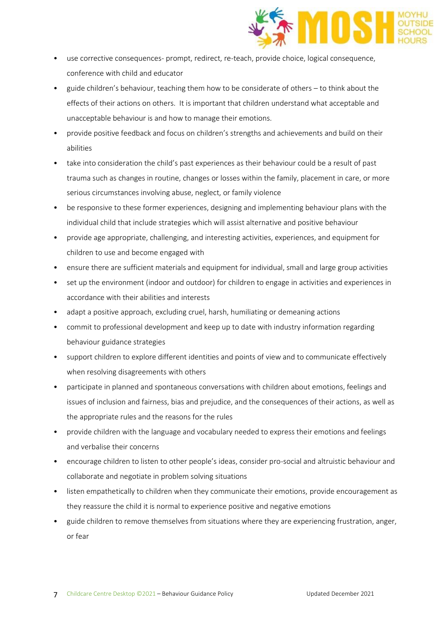

- use corrective consequences- prompt, redirect, re-teach, provide choice, logical consequence, conference with child and educator
- guide children's behaviour, teaching them how to be considerate of others to think about the effects of their actions on others. It is important that children understand what acceptable and unacceptable behaviour is and how to manage their emotions.
- provide positive feedback and focus on children's strengths and achievements and build on their abilities
- take into consideration the child's past experiences as their behaviour could be a result of past trauma such as changes in routine, changes or losses within the family, placement in care, or more serious circumstances involving abuse, neglect, or family violence
- be responsive to these former experiences, designing and implementing behaviour plans with the individual child that include strategies which will assist alternative and positive behaviour
- provide age appropriate, challenging, and interesting activities, experiences, and equipment for children to use and become engaged with
- ensure there are sufficient materials and equipment for individual, small and large group activities
- set up the environment (indoor and outdoor) for children to engage in activities and experiences in accordance with their abilities and interests
- adapt a positive approach, excluding cruel, harsh, humiliating or demeaning actions
- commit to professional development and keep up to date with industry information regarding behaviour guidance strategies
- support children to explore different identities and points of view and to communicate effectively when resolving disagreements with others
- participate in planned and spontaneous conversations with children about emotions, feelings and issues of inclusion and fairness, bias and prejudice, and the consequences of their actions, as well as the appropriate rules and the reasons for the rules
- provide children with the language and vocabulary needed to express their emotions and feelings and verbalise their concerns
- encourage children to listen to other people's ideas, consider pro-social and altruistic behaviour and collaborate and negotiate in problem solving situations
- listen empathetically to children when they communicate their emotions, provide encouragement as they reassure the child it is normal to experience positive and negative emotions
- guide children to remove themselves from situations where they are experiencing frustration, anger, or fear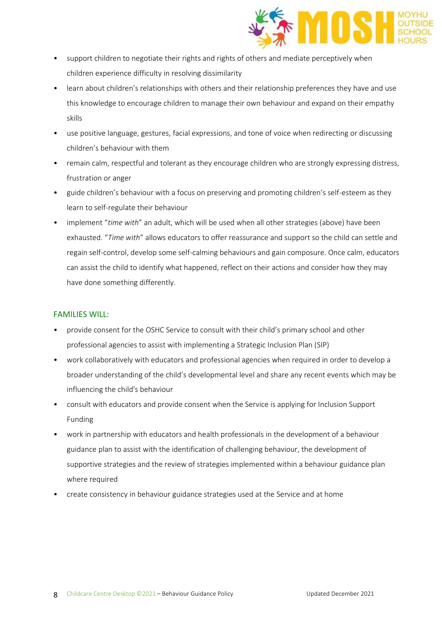

- support children to negotiate their rights and rights of others and mediate perceptively when children experience difficulty in resolving dissimilarity
- learn about children's relationships with others and their relationship preferences they have and use this knowledge to encourage children to manage their own behaviour and expand on their empathy skills
- use positive language, gestures, facial expressions, and tone of voice when redirecting or discussing children's behaviour with them
- remain calm, respectful and tolerant as they encourage children who are strongly expressing distress, frustration or anger
- guide children's behaviour with a focus on preserving and promoting children's self-esteem as they learn to self-regulate their behaviour
- implement "*time with*" an adult, which will be used when all other strategies (above) have been exhausted. "*Time with*" allows educators to offer reassurance and support so the child can settle and regain self-control, develop some self-calming behaviours and gain composure. Once calm, educators can assist the child to identify what happened, reflect on their actions and consider how they may have done something differently.

## FAMILIES WILL:

- provide consent for the OSHC Service to consult with their child's primary school and other professional agencies to assist with implementing a Strategic Inclusion Plan (SIP)
- work collaboratively with educators and professional agencies when required in order to develop a broader understanding of the child's developmental level and share any recent events which may be influencing the child's behaviour
- consult with educators and provide consent when the Service is applying for Inclusion Support Funding
- work in partnership with educators and health professionals in the development of a behaviour guidance plan to assist with the identification of challenging behaviour, the development of supportive strategies and the review of strategies implemented within a behaviour guidance plan where required
- create consistency in behaviour guidance strategies used at the Service and at home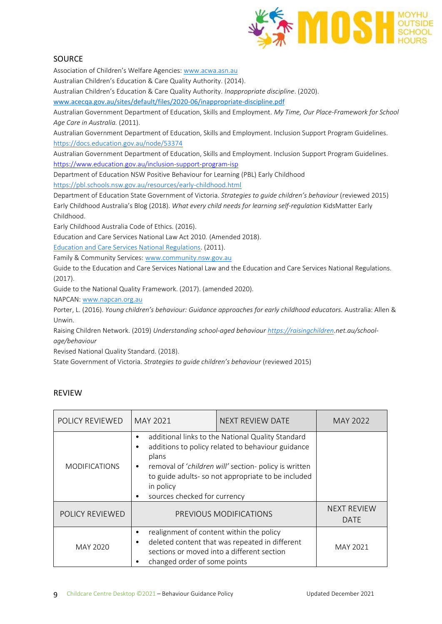

# **SOURCE**

Association of Children's Welfare Agencies: [www.acwa.asn.au](http://www.acwa.asn.au/) 

Australian Children's Education & Care Quality Authority. (2014).

Australian Children's Education & Care Quality Authority. *Inappropriate discipline*. (2020).

[www.acecqa.gov.au/sites/default/files/2020-06/inappropriate-discipline.pdf](http://www.acecqa.gov.au/sites/default/files/2020-06/inappropriate-discipline.pdf)

Australian Government Department of Education, Skills and Employment. *My Time, Our Place-Framework for School Age Care in Australia.* (2011).

Australian Government Department of Education, Skills and Employment. Inclusion Support Program Guidelines. <https://docs.education.gov.au/node/53374>

Australian Government Department of Education, Skills and Employment. Inclusion Support Program Guidelines. <https://www.education.gov.au/inclusion-support-program-isp>

Department of Education NSW Positive Behaviour for Learning (PBL) Early Childhood

<https://pbl.schools.nsw.gov.au/resources/early-childhood.html>

Department of Education State Government of Victoria. *Strategies to guide children's behaviour* (reviewed 2015) Early Childhood Australia's Blog (2018). *What every child needs for learning self-regulation* KidsMatter Early Childhood.

Early Childhood Australia Code of Ethics. (2016).

Education and Care Services National Law Act 2010*.* (Amended 2018).

[Education and Care Services National Regulations.](https://www.legislation.nsw.gov.au/view/html/inforce/current/sl-2011-0653?query=((Repealed%3DN+AND+PrintType%3D%22act.reprint%22+AND+PitValid%3D@pointInTime(20200831000000))+OR+(Repealed%3DN+AND+PrintType%3D%22reprint%22+AND+PitValid%3D@pointInTime(20200831000000))+OR+(Repealed%3DN+AND+(PrintType%3D%22epi.reprint%22+OR+PrintType%3D%22epi.electronic%22)+AND+PitValid%3D@pointInTime(20200831000000)))+AND+Content%3D(%22early%22+AND+%22childhood%22)&dQuery=Document+Types%3D%22%3Cspan+class%3D%27dq-highlight%27%3EActs%3C/span%3E,+%3Cspan+class%3D%27dq-highlight%27%3ERegulations%3C/span%3E,+%3Cspan+class%3D%27dq-highlight%27%3EEPIs%3C/span%3E%22,+Search+In%3D%22%3Cspan+class%3D%27dq-highlight%27%3EAll+Content%3C/span%3E%22,+All+Words%3D%22%3Cspan+class%3D%27dq-highlight%27%3Eearly+childhood%3C/span%3E%22,+Point+In+Time%3D%22%3Cspan+class%3D%27dq-highlight%27%3E31/08/2020%3C/span%3E%22) (2011).

Family & Community Services[: www.community.nsw.gov.au](http://www.community.nsw.gov.au/) 

Guide to the Education and Care Services National Law and the Education and Care Services National Regulations. (2017).

Guide to the National Quality Framework. (2017). (amended 2020).

NAPCAN: [www.napcan.org.au](http://www.napcan.org.au/) 

Porter, L. (2016). *Young children's behaviour: Guidance approaches for early childhood educators.* Australia: Allen & Unwin.

Raising Children Network. (2019) *Understanding school-aged behaviou[r https://raisingchildren.](https://raisingchildren/)net.au/schoolage/behaviour*

Revised National Quality Standard. (2018).

State Government of Victoria. *Strategies to guide children's behaviour* (reviewed 2015)

## REVIEW

| <b>POLICY REVIEWED</b>                                                                                                                                                                    | MAY 2021                                                                                                                                                                                                                                                                         | NEXT REVIEW DATE       | MAY 2022                          |
|-------------------------------------------------------------------------------------------------------------------------------------------------------------------------------------------|----------------------------------------------------------------------------------------------------------------------------------------------------------------------------------------------------------------------------------------------------------------------------------|------------------------|-----------------------------------|
| <b>MODIFICATIONS</b>                                                                                                                                                                      | additional links to the National Quality Standard<br>additions to policy related to behaviour guidance<br>plans<br>removal of 'children will' section- policy is written<br>٠<br>to guide adults- so not appropriate to be included<br>in policy<br>sources checked for currency |                        |                                   |
| <b>POLICY REVIEWED</b>                                                                                                                                                                    |                                                                                                                                                                                                                                                                                  | PREVIOUS MODIFICATIONS | <b>NEXT REVIEW</b><br><b>DATE</b> |
| realignment of content within the policy<br>٠<br>deleted content that was repeated in different<br>MAY 2020<br>sections or moved into a different section<br>changed order of some points |                                                                                                                                                                                                                                                                                  | MAY 2021               |                                   |